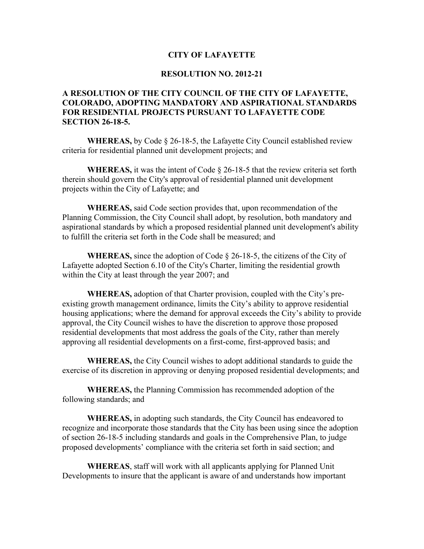## **CITY OF LAFAYETTE**

## **RESOLUTION NO. 2012-21**

## **A RESOLUTION OF THE CITY COUNCIL OF THE CITY OF LAFAYETTE, COLORADO, ADOPTING MANDATORY AND ASPIRATIONAL STANDARDS FOR RESIDENTIAL PROJECTS PURSUANT TO LAFAYETTE CODE SECTION 26-18-5.**

**WHEREAS,** by Code § 26-18-5, the Lafayette City Council established review criteria for residential planned unit development projects; and

**WHEREAS,** it was the intent of Code § 26-18-5 that the review criteria set forth therein should govern the City's approval of residential planned unit development projects within the City of Lafayette; and

**WHEREAS,** said Code section provides that, upon recommendation of the Planning Commission, the City Council shall adopt, by resolution, both mandatory and aspirational standards by which a proposed residential planned unit development's ability to fulfill the criteria set forth in the Code shall be measured; and

**WHEREAS,** since the adoption of Code § 26-18-5, the citizens of the City of Lafayette adopted Section 6.10 of the City's Charter, limiting the residential growth within the City at least through the year 2007; and

**WHEREAS,** adoption of that Charter provision, coupled with the City's preexisting growth management ordinance, limits the City's ability to approve residential housing applications; where the demand for approval exceeds the City's ability to provide approval, the City Council wishes to have the discretion to approve those proposed residential developments that most address the goals of the City, rather than merely approving all residential developments on a first-come, first-approved basis; and

**WHEREAS,** the City Council wishes to adopt additional standards to guide the exercise of its discretion in approving or denying proposed residential developments; and

**WHEREAS,** the Planning Commission has recommended adoption of the following standards; and

**WHEREAS,** in adopting such standards, the City Council has endeavored to recognize and incorporate those standards that the City has been using since the adoption of section 26-18-5 including standards and goals in the Comprehensive Plan, to judge proposed developments' compliance with the criteria set forth in said section; and

**WHEREAS**, staff will work with all applicants applying for Planned Unit Developments to insure that the applicant is aware of and understands how important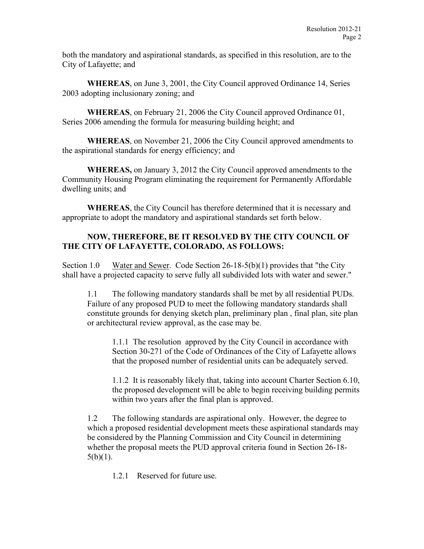both the mandatory and aspirational standards, as specified in this resolution, are to the City of Lafayette; and

**WHEREAS**, on June 3, 2001, the City Council approved Ordinance 14, Series 2003 adopting inclusionary zoning; and

**WHEREAS**, on February 21, 2006 the City Council approved Ordinance 01, Series 2006 amending the formula for measuring building height; and

**WHEREAS**, on November 21, 2006 the City Council approved amendments to the aspirational standards for energy efficiency; and

**WHEREAS,** on January 3, 2012 the City Council approved amendments to the Community Housing Program eliminating the requirement for Permanently Affordable dwelling units; and

**WHEREAS**, the City Council has therefore determined that it is necessary and appropriate to adopt the mandatory and aspirational standards set forth below.

## **NOW, THEREFORE, BE IT RESOLVED BY THE CITY COUNCIL OF THE CITY OF LAFAYETTE, COLORADO, AS FOLLOWS:**

Section 1.0 Water and Sewer. Code Section 26-18-5(b)(1) provides that "the City shall have a projected capacity to serve fully all subdivided lots with water and sewer."

1.1 The following mandatory standards shall be met by all residential PUDs. Failure of any proposed PUD to meet the following mandatory standards shall constitute grounds for denying sketch plan, preliminary plan , final plan, site plan or architectural review approval, as the case may be.

1.1.1 The resolution approved by the City Council in accordance with Section 30-271 of the Code of Ordinances of the City of Lafayette allows that the proposed number of residential units can be adequately served.

1.1.2 It is reasonably likely that, taking into account Charter Section 6.10, the proposed development will be able to begin receiving building permits within two years after the final plan is approved.

1.2 The following standards are aspirational only. However, the degree to which a proposed residential development meets these aspirational standards may be considered by the Planning Commission and City Council in determining whether the proposal meets the PUD approval criteria found in Section 26-18-  $5(b)(1)$ .

1.2.1 Reserved for future use.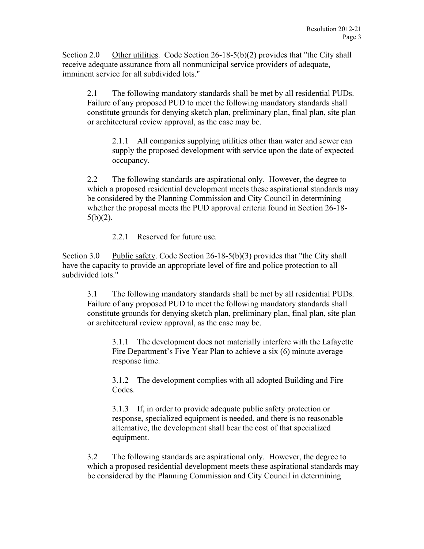Section 2.0 Other utilities. Code Section  $26-18-5(b)(2)$  provides that "the City shall receive adequate assurance from all nonmunicipal service providers of adequate, imminent service for all subdivided lots."

2.1 The following mandatory standards shall be met by all residential PUDs. Failure of any proposed PUD to meet the following mandatory standards shall constitute grounds for denying sketch plan, preliminary plan, final plan, site plan or architectural review approval, as the case may be.

2.1.1 All companies supplying utilities other than water and sewer can supply the proposed development with service upon the date of expected occupancy.

2.2 The following standards are aspirational only. However, the degree to which a proposed residential development meets these aspirational standards may be considered by the Planning Commission and City Council in determining whether the proposal meets the PUD approval criteria found in Section 26-18-  $5(b)(2)$ .

2.2.1 Reserved for future use.

Section 3.0 Public safety. Code Section 26-18-5(b)(3) provides that "the City shall have the capacity to provide an appropriate level of fire and police protection to all subdivided lots."

3.1 The following mandatory standards shall be met by all residential PUDs. Failure of any proposed PUD to meet the following mandatory standards shall constitute grounds for denying sketch plan, preliminary plan, final plan, site plan or architectural review approval, as the case may be.

3.1.1 The development does not materially interfere with the Lafayette Fire Department's Five Year Plan to achieve a six (6) minute average response time.

3.1.2 The development complies with all adopted Building and Fire Codes.

3.1.3 If, in order to provide adequate public safety protection or response, specialized equipment is needed, and there is no reasonable alternative, the development shall bear the cost of that specialized equipment.

3.2 The following standards are aspirational only. However, the degree to which a proposed residential development meets these aspirational standards may be considered by the Planning Commission and City Council in determining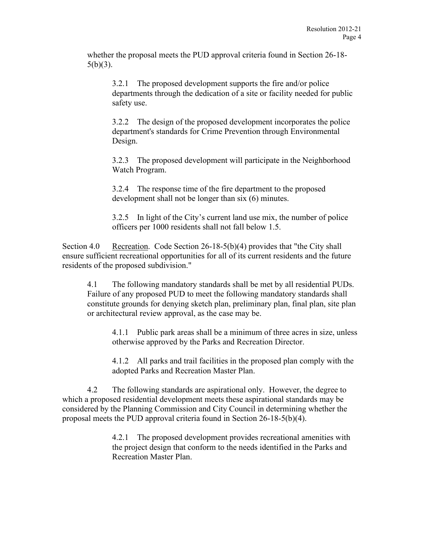whether the proposal meets the PUD approval criteria found in Section 26-18-  $5(b)(3)$ .

3.2.1 The proposed development supports the fire and/or police departments through the dedication of a site or facility needed for public safety use.

3.2.2 The design of the proposed development incorporates the police department's standards for Crime Prevention through Environmental Design.

3.2.3 The proposed development will participate in the Neighborhood Watch Program.

3.2.4 The response time of the fire department to the proposed development shall not be longer than six (6) minutes.

3.2.5 In light of the City's current land use mix, the number of police officers per 1000 residents shall not fall below 1.5.

Section 4.0 Recreation. Code Section 26-18-5(b)(4) provides that "the City shall ensure sufficient recreational opportunities for all of its current residents and the future residents of the proposed subdivision."

4.1 The following mandatory standards shall be met by all residential PUDs. Failure of any proposed PUD to meet the following mandatory standards shall constitute grounds for denying sketch plan, preliminary plan, final plan, site plan or architectural review approval, as the case may be.

4.1.1 Public park areas shall be a minimum of three acres in size, unless otherwise approved by the Parks and Recreation Director.

4.1.2 All parks and trail facilities in the proposed plan comply with the adopted Parks and Recreation Master Plan.

4.2 The following standards are aspirational only. However, the degree to which a proposed residential development meets these aspirational standards may be considered by the Planning Commission and City Council in determining whether the proposal meets the PUD approval criteria found in Section 26-18-5(b)(4).

> 4.2.1 The proposed development provides recreational amenities with the project design that conform to the needs identified in the Parks and Recreation Master Plan.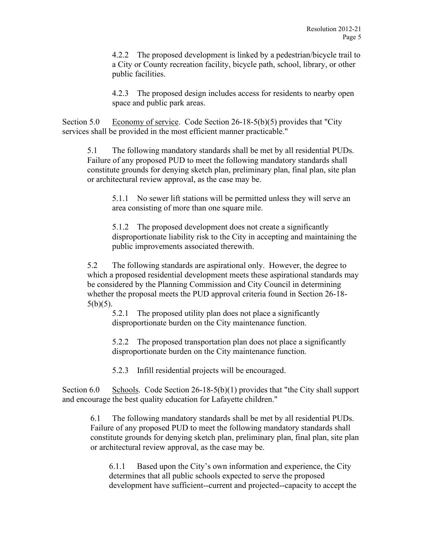4.2.2 The proposed development is linked by a pedestrian/bicycle trail to a City or County recreation facility, bicycle path, school, library, or other public facilities.

4.2.3 The proposed design includes access for residents to nearby open space and public park areas.

Section 5.0 Economy of service. Code Section 26-18-5(b)(5) provides that "City services shall be provided in the most efficient manner practicable."

5.1 The following mandatory standards shall be met by all residential PUDs. Failure of any proposed PUD to meet the following mandatory standards shall constitute grounds for denying sketch plan, preliminary plan, final plan, site plan or architectural review approval, as the case may be.

5.1.1 No sewer lift stations will be permitted unless they will serve an area consisting of more than one square mile.

5.1.2 The proposed development does not create a significantly disproportionate liability risk to the City in accepting and maintaining the public improvements associated therewith.

5.2 The following standards are aspirational only. However, the degree to which a proposed residential development meets these aspirational standards may be considered by the Planning Commission and City Council in determining whether the proposal meets the PUD approval criteria found in Section 26-18-  $5(b)(5)$ .

5.2.1 The proposed utility plan does not place a significantly disproportionate burden on the City maintenance function.

5.2.2 The proposed transportation plan does not place a significantly disproportionate burden on the City maintenance function.

5.2.3 Infill residential projects will be encouraged.

Section 6.0 Schools. Code Section 26-18-5(b)(1) provides that "the City shall support and encourage the best quality education for Lafayette children."

6.1 The following mandatory standards shall be met by all residential PUDs. Failure of any proposed PUD to meet the following mandatory standards shall constitute grounds for denying sketch plan, preliminary plan, final plan, site plan or architectural review approval, as the case may be.

6.1.1 Based upon the City's own information and experience, the City determines that all public schools expected to serve the proposed development have sufficient--current and projected--capacity to accept the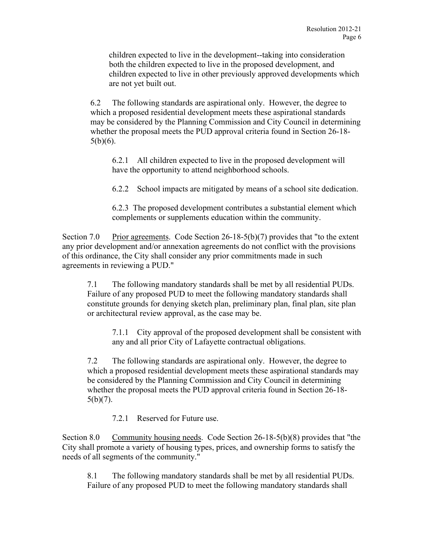children expected to live in the development--taking into consideration both the children expected to live in the proposed development, and children expected to live in other previously approved developments which are not yet built out.

6.2 The following standards are aspirational only. However, the degree to which a proposed residential development meets these aspirational standards may be considered by the Planning Commission and City Council in determining whether the proposal meets the PUD approval criteria found in Section 26-18- 5(b)(6).

6.2.1 All children expected to live in the proposed development will have the opportunity to attend neighborhood schools.

6.2.2 School impacts are mitigated by means of a school site dedication.

6.2.3 The proposed development contributes a substantial element which complements or supplements education within the community.

Section 7.0 Prior agreements. Code Section 26-18-5(b)(7) provides that "to the extent any prior development and/or annexation agreements do not conflict with the provisions of this ordinance, the City shall consider any prior commitments made in such agreements in reviewing a PUD."

7.1 The following mandatory standards shall be met by all residential PUDs. Failure of any proposed PUD to meet the following mandatory standards shall constitute grounds for denying sketch plan, preliminary plan, final plan, site plan or architectural review approval, as the case may be.

7.1.1 City approval of the proposed development shall be consistent with any and all prior City of Lafayette contractual obligations.

7.2 The following standards are aspirational only. However, the degree to which a proposed residential development meets these aspirational standards may be considered by the Planning Commission and City Council in determining whether the proposal meets the PUD approval criteria found in Section 26-18- 5(b)(7).

7.2.1 Reserved for Future use.

Section 8.0 Community housing needs. Code Section 26-18-5(b)(8) provides that "the City shall promote a variety of housing types, prices, and ownership forms to satisfy the needs of all segments of the community."

8.1 The following mandatory standards shall be met by all residential PUDs. Failure of any proposed PUD to meet the following mandatory standards shall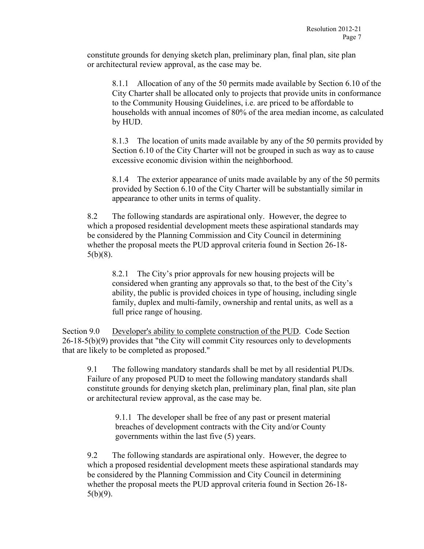constitute grounds for denying sketch plan, preliminary plan, final plan, site plan or architectural review approval, as the case may be.

8.1.1 Allocation of any of the 50 permits made available by Section 6.10 of the City Charter shall be allocated only to projects that provide units in conformance to the Community Housing Guidelines, i.e. are priced to be affordable to households with annual incomes of 80% of the area median income, as calculated by HUD.

8.1.3 The location of units made available by any of the 50 permits provided by Section 6.10 of the City Charter will not be grouped in such as way as to cause excessive economic division within the neighborhood.

8.1.4 The exterior appearance of units made available by any of the 50 permits provided by Section 6.10 of the City Charter will be substantially similar in appearance to other units in terms of quality.

8.2 The following standards are aspirational only. However, the degree to which a proposed residential development meets these aspirational standards may be considered by the Planning Commission and City Council in determining whether the proposal meets the PUD approval criteria found in Section 26-18- 5(b)(8).

8.2.1 The City's prior approvals for new housing projects will be considered when granting any approvals so that, to the best of the City's ability, the public is provided choices in type of housing, including single family, duplex and multi-family, ownership and rental units, as well as a full price range of housing.

Section 9.0 Developer's ability to complete construction of the PUD. Code Section 26-18-5(b)(9) provides that "the City will commit City resources only to developments that are likely to be completed as proposed."

9.1 The following mandatory standards shall be met by all residential PUDs. Failure of any proposed PUD to meet the following mandatory standards shall constitute grounds for denying sketch plan, preliminary plan, final plan, site plan or architectural review approval, as the case may be.

9.1.1 The developer shall be free of any past or present material breaches of development contracts with the City and/or County governments within the last five (5) years.

9.2 The following standards are aspirational only. However, the degree to which a proposed residential development meets these aspirational standards may be considered by the Planning Commission and City Council in determining whether the proposal meets the PUD approval criteria found in Section 26-18- 5(b)(9).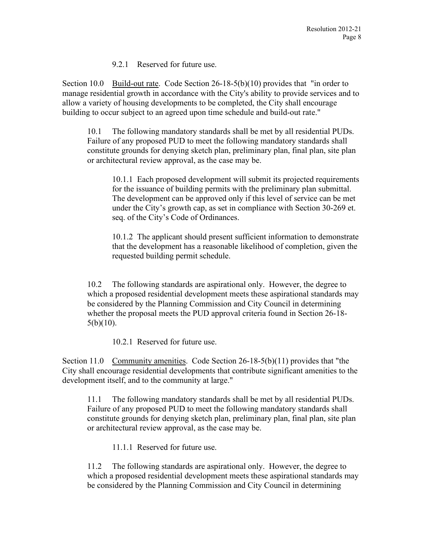9.2.1 Reserved for future use.

Section 10.0 Build-out rate. Code Section 26-18-5(b)(10) provides that "in order to manage residential growth in accordance with the City's ability to provide services and to allow a variety of housing developments to be completed, the City shall encourage building to occur subject to an agreed upon time schedule and build-out rate."

10.1 The following mandatory standards shall be met by all residential PUDs. Failure of any proposed PUD to meet the following mandatory standards shall constitute grounds for denying sketch plan, preliminary plan, final plan, site plan or architectural review approval, as the case may be.

10.1.1 Each proposed development will submit its projected requirements for the issuance of building permits with the preliminary plan submittal. The development can be approved only if this level of service can be met under the City's growth cap, as set in compliance with Section 30-269 et. seq. of the City's Code of Ordinances.

10.1.2 The applicant should present sufficient information to demonstrate that the development has a reasonable likelihood of completion, given the requested building permit schedule.

10.2 The following standards are aspirational only. However, the degree to which a proposed residential development meets these aspirational standards may be considered by the Planning Commission and City Council in determining whether the proposal meets the PUD approval criteria found in Section 26-18-  $5(b)(10)$ .

10.2.1 Reserved for future use.

Section 11.0 Community amenities. Code Section 26-18-5(b)(11) provides that "the City shall encourage residential developments that contribute significant amenities to the development itself, and to the community at large."

11.1 The following mandatory standards shall be met by all residential PUDs. Failure of any proposed PUD to meet the following mandatory standards shall constitute grounds for denying sketch plan, preliminary plan, final plan, site plan or architectural review approval, as the case may be.

11.1.1 Reserved for future use.

11.2 The following standards are aspirational only. However, the degree to which a proposed residential development meets these aspirational standards may be considered by the Planning Commission and City Council in determining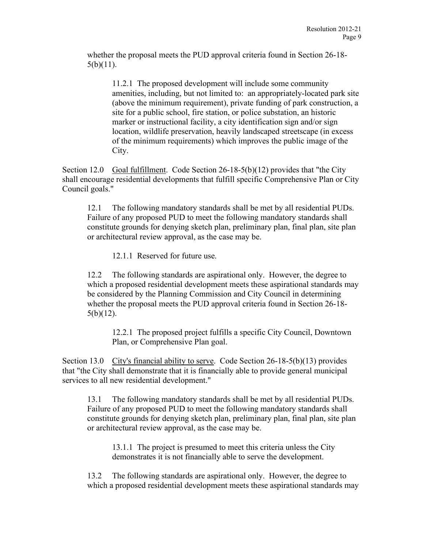whether the proposal meets the PUD approval criteria found in Section 26-18- 5(b)(11).

11.2.1 The proposed development will include some community amenities, including, but not limited to: an appropriately-located park site (above the minimum requirement), private funding of park construction, a site for a public school, fire station, or police substation, an historic marker or instructional facility, a city identification sign and/or sign location, wildlife preservation, heavily landscaped streetscape (in excess of the minimum requirements) which improves the public image of the City.

Section 12.0 Goal fulfillment. Code Section  $26-18-5(b)(12)$  provides that "the City" shall encourage residential developments that fulfill specific Comprehensive Plan or City Council goals."

12.1 The following mandatory standards shall be met by all residential PUDs. Failure of any proposed PUD to meet the following mandatory standards shall constitute grounds for denying sketch plan, preliminary plan, final plan, site plan or architectural review approval, as the case may be.

12.1.1 Reserved for future use.

12.2 The following standards are aspirational only. However, the degree to which a proposed residential development meets these aspirational standards may be considered by the Planning Commission and City Council in determining whether the proposal meets the PUD approval criteria found in Section 26-18- 5(b)(12).

12.2.1 The proposed project fulfills a specific City Council, Downtown Plan, or Comprehensive Plan goal.

Section 13.0 City's financial ability to serve. Code Section 26-18-5(b)(13) provides that "the City shall demonstrate that it is financially able to provide general municipal services to all new residential development."

13.1 The following mandatory standards shall be met by all residential PUDs. Failure of any proposed PUD to meet the following mandatory standards shall constitute grounds for denying sketch plan, preliminary plan, final plan, site plan or architectural review approval, as the case may be.

13.1.1 The project is presumed to meet this criteria unless the City demonstrates it is not financially able to serve the development.

13.2 The following standards are aspirational only. However, the degree to which a proposed residential development meets these aspirational standards may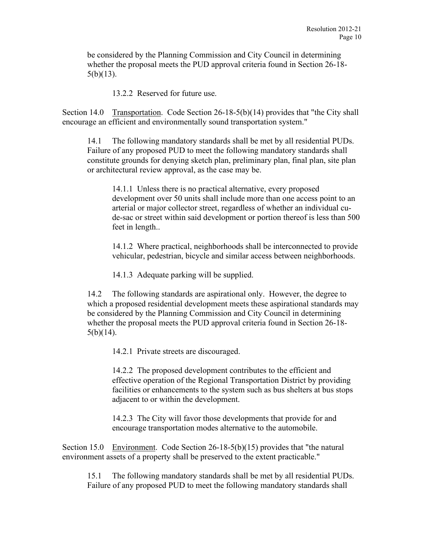be considered by the Planning Commission and City Council in determining whether the proposal meets the PUD approval criteria found in Section 26-18-  $5(b)(13)$ .

13.2.2 Reserved for future use.

Section 14.0 Transportation. Code Section 26-18-5(b)(14) provides that "the City shall encourage an efficient and environmentally sound transportation system."

14.1 The following mandatory standards shall be met by all residential PUDs. Failure of any proposed PUD to meet the following mandatory standards shall constitute grounds for denying sketch plan, preliminary plan, final plan, site plan or architectural review approval, as the case may be.

14.1.1 Unless there is no practical alternative, every proposed development over 50 units shall include more than one access point to an arterial or major collector street, regardless of whether an individual cude-sac or street within said development or portion thereof is less than 500 feet in length..

14.1.2 Where practical, neighborhoods shall be interconnected to provide vehicular, pedestrian, bicycle and similar access between neighborhoods.

14.1.3 Adequate parking will be supplied.

14.2 The following standards are aspirational only. However, the degree to which a proposed residential development meets these aspirational standards may be considered by the Planning Commission and City Council in determining whether the proposal meets the PUD approval criteria found in Section 26-18- 5(b)(14).

14.2.1 Private streets are discouraged.

14.2.2 The proposed development contributes to the efficient and effective operation of the Regional Transportation District by providing facilities or enhancements to the system such as bus shelters at bus stops adjacent to or within the development.

14.2.3 The City will favor those developments that provide for and encourage transportation modes alternative to the automobile.

Section 15.0 Environment. Code Section 26-18-5(b)(15) provides that "the natural environment assets of a property shall be preserved to the extent practicable."

15.1 The following mandatory standards shall be met by all residential PUDs. Failure of any proposed PUD to meet the following mandatory standards shall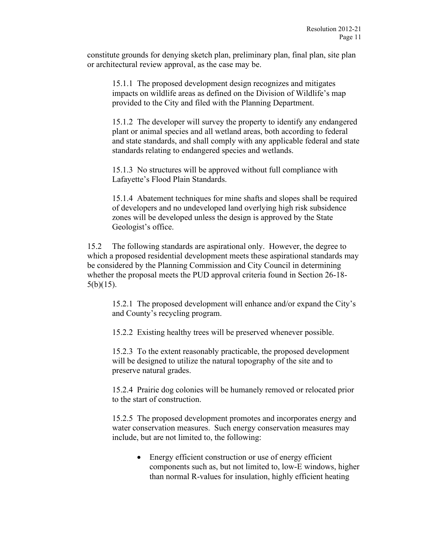constitute grounds for denying sketch plan, preliminary plan, final plan, site plan or architectural review approval, as the case may be.

15.1.1 The proposed development design recognizes and mitigates impacts on wildlife areas as defined on the Division of Wildlife's map provided to the City and filed with the Planning Department.

15.1.2 The developer will survey the property to identify any endangered plant or animal species and all wetland areas, both according to federal and state standards, and shall comply with any applicable federal and state standards relating to endangered species and wetlands.

15.1.3 No structures will be approved without full compliance with Lafayette's Flood Plain Standards.

15.1.4 Abatement techniques for mine shafts and slopes shall be required of developers and no undeveloped land overlying high risk subsidence zones will be developed unless the design is approved by the State Geologist's office.

15.2 The following standards are aspirational only. However, the degree to which a proposed residential development meets these aspirational standards may be considered by the Planning Commission and City Council in determining whether the proposal meets the PUD approval criteria found in Section 26-18- 5(b)(15).

15.2.1 The proposed development will enhance and/or expand the City's and County's recycling program.

15.2.2 Existing healthy trees will be preserved whenever possible.

15.2.3 To the extent reasonably practicable, the proposed development will be designed to utilize the natural topography of the site and to preserve natural grades.

15.2.4 Prairie dog colonies will be humanely removed or relocated prior to the start of construction.

15.2.5 The proposed development promotes and incorporates energy and water conservation measures. Such energy conservation measures may include, but are not limited to, the following:

> • Energy efficient construction or use of energy efficient components such as, but not limited to, low-E windows, higher than normal R-values for insulation, highly efficient heating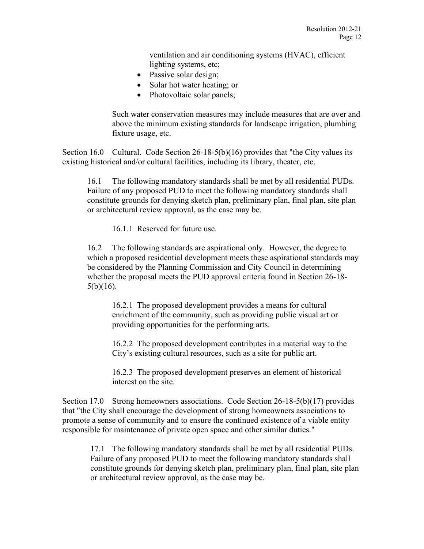ventilation and air conditioning systems (HVAC), efficient lighting systems, etc;

- Passive solar design;
- Solar hot water heating; or
- Photovoltaic solar panels;

Such water conservation measures may include measures that are over and above the minimum existing standards for landscape irrigation, plumbing fixture usage, etc.

Section 16.0 Cultural. Code Section 26-18-5(b)(16) provides that "the City values its existing historical and/or cultural facilities, including its library, theater, etc.

16.1 The following mandatory standards shall be met by all residential PUDs. Failure of any proposed PUD to meet the following mandatory standards shall constitute grounds for denying sketch plan, preliminary plan, final plan, site plan or architectural review approval, as the case may be.

16.1.1 Reserved for future use.

16.2 The following standards are aspirational only. However, the degree to which a proposed residential development meets these aspirational standards may be considered by the Planning Commission and City Council in determining whether the proposal meets the PUD approval criteria found in Section 26-18- 5(b)(16).

16.2.1 The proposed development provides a means for cultural enrichment of the community, such as providing public visual art or providing opportunities for the performing arts.

16.2.2 The proposed development contributes in a material way to the City's existing cultural resources, such as a site for public art.

16.2.3 The proposed development preserves an element of historical interest on the site.

Section 17.0 Strong homeowners associations. Code Section 26-18-5(b)(17) provides that "the City shall encourage the development of strong homeowners associations to promote a sense of community and to ensure the continued existence of a viable entity responsible for maintenance of private open space and other similar duties."

17.1 The following mandatory standards shall be met by all residential PUDs. Failure of any proposed PUD to meet the following mandatory standards shall constitute grounds for denying sketch plan, preliminary plan, final plan, site plan or architectural review approval, as the case may be.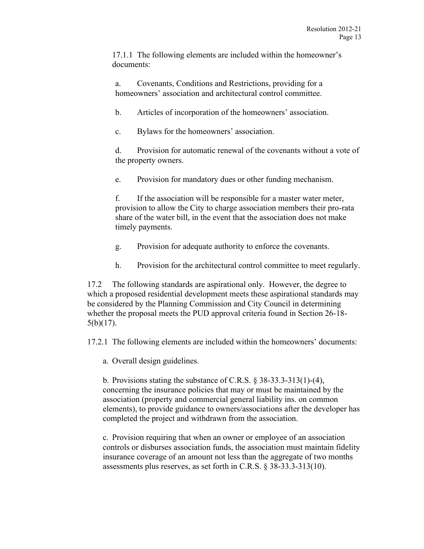17.1.1 The following elements are included within the homeowner's documents:

a. Covenants, Conditions and Restrictions, providing for a homeowners' association and architectural control committee.

b. Articles of incorporation of the homeowners' association.

c. Bylaws for the homeowners' association.

d. Provision for automatic renewal of the covenants without a vote of the property owners.

e. Provision for mandatory dues or other funding mechanism.

f. If the association will be responsible for a master water meter, provision to allow the City to charge association members their pro-rata share of the water bill, in the event that the association does not make timely payments.

- g. Provision for adequate authority to enforce the covenants.
- h. Provision for the architectural control committee to meet regularly.

17.2 The following standards are aspirational only. However, the degree to which a proposed residential development meets these aspirational standards may be considered by the Planning Commission and City Council in determining whether the proposal meets the PUD approval criteria found in Section 26-18- 5(b)(17).

17.2.1 The following elements are included within the homeowners' documents:

a. Overall design guidelines.

b. Provisions stating the substance of C.R.S. § 38-33.3-313(1)-(4), concerning the insurance policies that may or must be maintained by the association (property and commercial general liability ins. on common elements), to provide guidance to owners/associations after the developer has completed the project and withdrawn from the association.

c. Provision requiring that when an owner or employee of an association controls or disburses association funds, the association must maintain fidelity insurance coverage of an amount not less than the aggregate of two months assessments plus reserves, as set forth in C.R.S. § 38-33.3-313(10).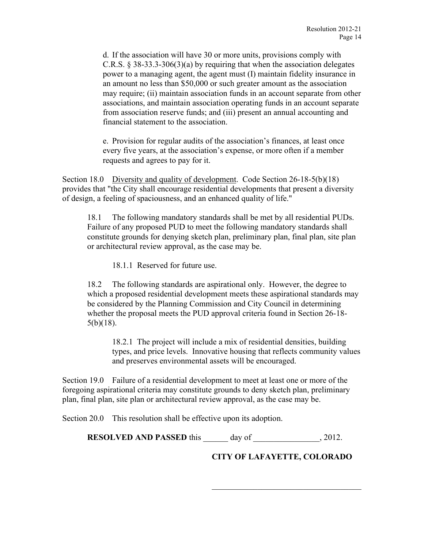d. If the association will have 30 or more units, provisions comply with C.R.S.  $\S$  38-33.3-306(3)(a) by requiring that when the association delegates power to a managing agent, the agent must (I) maintain fidelity insurance in an amount no less than \$50,000 or such greater amount as the association may require; (ii) maintain association funds in an account separate from other associations, and maintain association operating funds in an account separate from association reserve funds; and (iii) present an annual accounting and financial statement to the association.

e. Provision for regular audits of the association's finances, at least once every five years, at the association's expense, or more often if a member requests and agrees to pay for it.

Section 18.0 Diversity and quality of development. Code Section 26-18-5(b)(18) provides that "the City shall encourage residential developments that present a diversity of design, a feeling of spaciousness, and an enhanced quality of life."

18.1 The following mandatory standards shall be met by all residential PUDs. Failure of any proposed PUD to meet the following mandatory standards shall constitute grounds for denying sketch plan, preliminary plan, final plan, site plan or architectural review approval, as the case may be.

18.1.1 Reserved for future use.

18.2 The following standards are aspirational only. However, the degree to which a proposed residential development meets these aspirational standards may be considered by the Planning Commission and City Council in determining whether the proposal meets the PUD approval criteria found in Section 26-18- 5(b)(18).

18.2.1 The project will include a mix of residential densities, building types, and price levels. Innovative housing that reflects community values and preserves environmental assets will be encouraged.

Section 19.0 Failure of a residential development to meet at least one or more of the foregoing aspirational criteria may constitute grounds to deny sketch plan, preliminary plan, final plan, site plan or architectural review approval, as the case may be.

Section 20.0 This resolution shall be effective upon its adoption.

**RESOLVED AND PASSED** this day of  $\qquad$ , 2012.

**CITY OF LAFAYETTE, COLORADO**

 $\overline{\mathcal{L}}$  , and the set of the set of the set of the set of the set of the set of the set of the set of the set of the set of the set of the set of the set of the set of the set of the set of the set of the set of the s